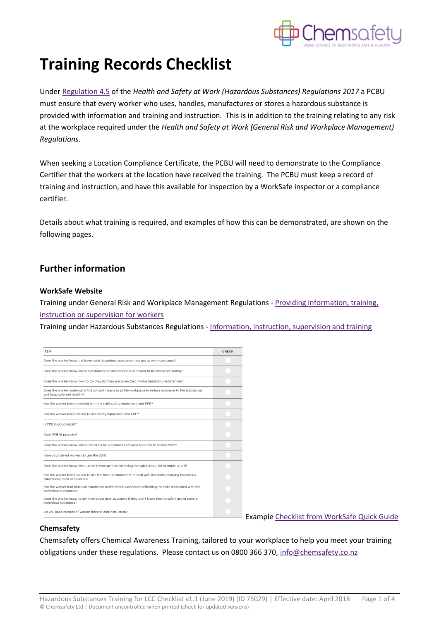

## **Training Records Checklist**

Under [Regulation 4.5](http://www.legislation.govt.nz/regulation/public/2017/0131/latest/DLM7309755.html) of the *Health and Safety at Work (Hazardous Substances) Regulations 2017* a PCBU must ensure that every worker who uses, handles, manufactures or stores a hazardous substance is provided with information and training and instruction. This is in addition to the training relating to any risk at the workplace required under the *Health and Safety at Work (General Risk and Workplace Management) Regulations*.

When seeking a Location Compliance Certificate, the PCBU will need to demonstrate to the Compliance Certifier that the workers at the location have received the training. The PCBU must keep a record of training and instruction, and have this available for inspection by a WorkSafe inspector or a compliance certifier.

Details about what training is required, and examples of how this can be demonstrated, are shown on the following pages.

## **Further information**

## **WorkSafe Website**

Training under General Risk and Workplace Management Regulations - [Providing information, training,](https://worksafe.govt.nz/managing-health-and-safety/businesses/providing-information-training-instruction-or-supervision-for-workers/)  [instruction or supervision for workers](https://worksafe.govt.nz/managing-health-and-safety/businesses/providing-information-training-instruction-or-supervision-for-workers/)

Training under Hazardous Substances Regulations - [Information, instruction, supervision and training](https://worksafe.govt.nz/topic-and-industry/hazardous-substances/managing/information-instruction-supervision-training/)

| <b>ITEM</b>                                                                                                                            | <b>CHECK</b> |
|----------------------------------------------------------------------------------------------------------------------------------------|--------------|
| Does the worker know the harm each hazardous substance they use at work can cause?                                                     |              |
| Does the worker know which substances are incompatible and need to be stored separately?                                               |              |
| Does the worker know how to do the jobs they are given that involve hazardous substances?                                              |              |
| Does the worker understand the control measures at the workplace to reduce exposure to the substances<br>and keep safe and healthy?    |              |
| Has the worker been provided with the right safety equipment and PPE?                                                                  |              |
| Has the worker been trained to use safety equipment and PPE?                                                                           |              |
| Is PPE in good repair?                                                                                                                 |              |
| Does PPE fit properly?                                                                                                                 |              |
| Does the worker know where the SDSs for substances are kept and how to access them?                                                    |              |
| Have you trained workers to use the SDS?                                                                                               |              |
| Does the worker know what to do in emergencies involving the substances, for example, a spill?                                         |              |
| Has the worker been trained to use the first aid equipment to deal with incidents involving hazardous<br>substances, such as splashes? |              |
| Has the worker had practical experience under direct supervision reflecting the risks associated with the<br>hazardous substances?     |              |
| Does the worker know to ask their supervisor questions if they don't know how to safely use or store a<br>hazardous substance?         |              |
| Do you keep records of worker training and instruction?                                                                                |              |

Example [Checklist from WorkSafe Quick Guide](https://worksafe.govt.nz/dmsdocument/2641-information-training-and-instruction-for-workers-handling-hazardous-substances-quick-guide)

## **Chemsafety**

Chemsafety offers Chemical Awareness Training, tailored to your workplace to help you meet your training obligations under these regulations. Please contact us on 0800 366 370[, info@chemsafety.co.nz](mailto:info@chemsafety.co.nz)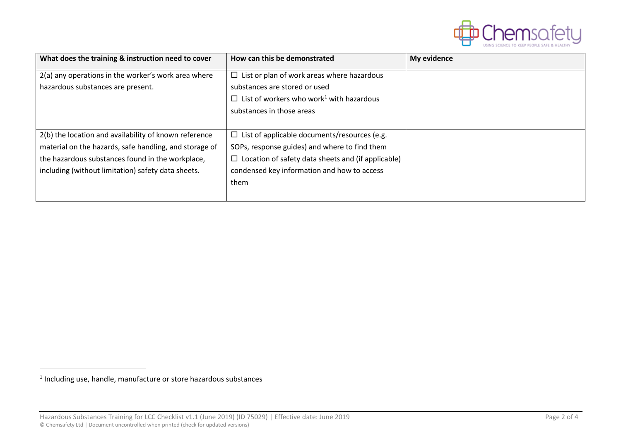

| What does the training & instruction need to cover     | How can this be demonstrated                                | My evidence |
|--------------------------------------------------------|-------------------------------------------------------------|-------------|
| 2(a) any operations in the worker's work area where    | $\Box$ List or plan of work areas where hazardous           |             |
| hazardous substances are present.                      | substances are stored or used                               |             |
|                                                        | $\Box$ List of workers who work <sup>1</sup> with hazardous |             |
|                                                        | substances in those areas                                   |             |
|                                                        |                                                             |             |
| 2(b) the location and availability of known reference  | $\Box$ List of applicable documents/resources (e.g.         |             |
| material on the hazards, safe handling, and storage of | SOPs, response guides) and where to find them               |             |
| the hazardous substances found in the workplace,       | $\Box$ Location of safety data sheets and (if applicable)   |             |
| including (without limitation) safety data sheets.     | condensed key information and how to access                 |             |
|                                                        | them                                                        |             |
|                                                        |                                                             |             |

<sup>&</sup>lt;sup>1</sup> Including use, handle, manufacture or store hazardous substances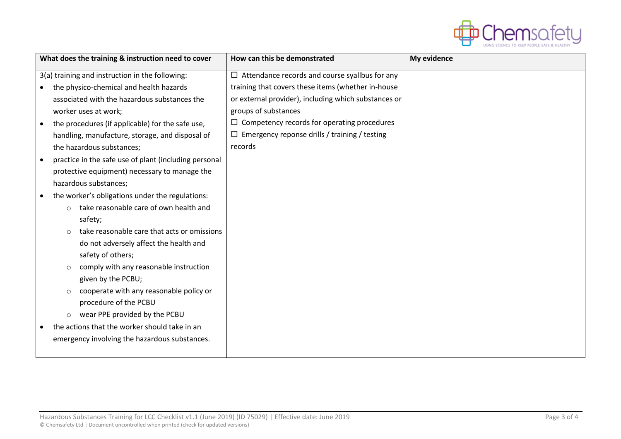

| What does the training & instruction need to cover      | How can this be demonstrated                          | My evidence |
|---------------------------------------------------------|-------------------------------------------------------|-------------|
| 3(a) training and instruction in the following:         | $\Box$ Attendance records and course syallbus for any |             |
| the physico-chemical and health hazards                 | training that covers these items (whether in-house    |             |
| associated with the hazardous substances the            | or external provider), including which substances or  |             |
| worker uses at work;                                    | groups of substances                                  |             |
| the procedures (if applicable) for the safe use,        | $\Box$ Competency records for operating procedures    |             |
| handling, manufacture, storage, and disposal of         | $\Box$ Emergency reponse drills / training / testing  |             |
| the hazardous substances;                               | records                                               |             |
| practice in the safe use of plant (including personal   |                                                       |             |
| protective equipment) necessary to manage the           |                                                       |             |
| hazardous substances;                                   |                                                       |             |
| the worker's obligations under the regulations:         |                                                       |             |
| take reasonable care of own health and<br>$\circ$       |                                                       |             |
| safety;                                                 |                                                       |             |
| take reasonable care that acts or omissions<br>$\Omega$ |                                                       |             |
| do not adversely affect the health and                  |                                                       |             |
| safety of others;                                       |                                                       |             |
| comply with any reasonable instruction<br>$\circ$       |                                                       |             |
| given by the PCBU;                                      |                                                       |             |
| cooperate with any reasonable policy or<br>$\circ$      |                                                       |             |
| procedure of the PCBU                                   |                                                       |             |
| wear PPE provided by the PCBU<br>$\circ$                |                                                       |             |
| the actions that the worker should take in an           |                                                       |             |
| emergency involving the hazardous substances.           |                                                       |             |
|                                                         |                                                       |             |